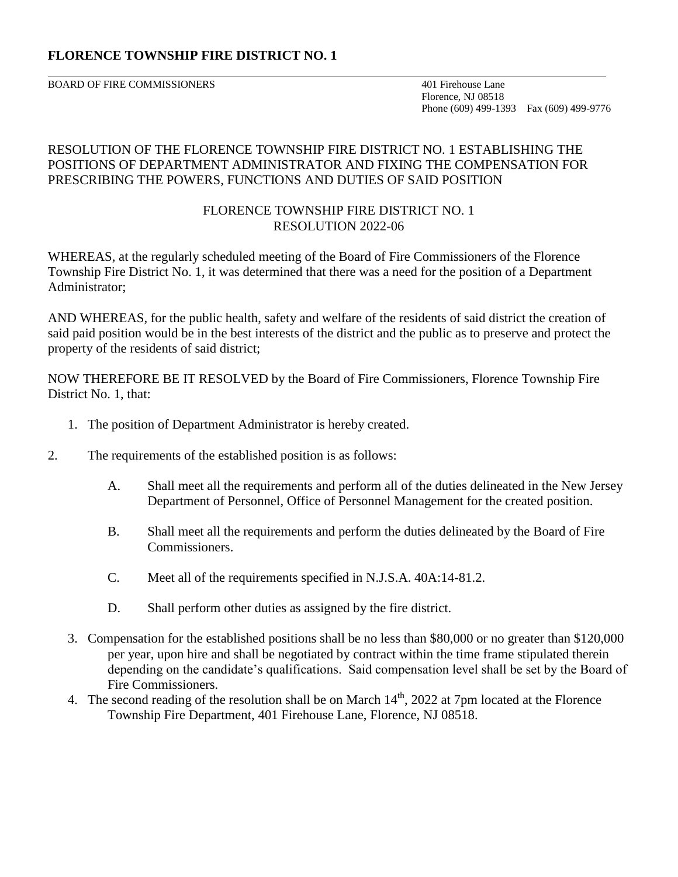# **FLORENCE TOWNSHIP FIRE DISTRICT NO. 1**

BOARD OF FIRE COMMISSIONERS 401 Firehouse Lane

 Florence, NJ 08518 Phone (609) 499-1393 Fax (609) 499-9776

## RESOLUTION OF THE FLORENCE TOWNSHIP FIRE DISTRICT NO. 1 ESTABLISHING THE POSITIONS OF DEPARTMENT ADMINISTRATOR AND FIXING THE COMPENSATION FOR PRESCRIBING THE POWERS, FUNCTIONS AND DUTIES OF SAID POSITION

## FLORENCE TOWNSHIP FIRE DISTRICT NO. 1 RESOLUTION 2022-06

WHEREAS, at the regularly scheduled meeting of the Board of Fire Commissioners of the Florence Township Fire District No. 1, it was determined that there was a need for the position of a Department Administrator;

AND WHEREAS, for the public health, safety and welfare of the residents of said district the creation of said paid position would be in the best interests of the district and the public as to preserve and protect the property of the residents of said district;

NOW THEREFORE BE IT RESOLVED by the Board of Fire Commissioners, Florence Township Fire District No. 1, that:

- 1. The position of Department Administrator is hereby created.
- 2. The requirements of the established position is as follows:
	- A. Shall meet all the requirements and perform all of the duties delineated in the New Jersey Department of Personnel, Office of Personnel Management for the created position.
	- B. Shall meet all the requirements and perform the duties delineated by the Board of Fire Commissioners.
	- C. Meet all of the requirements specified in N.J.S.A. 40A:14-81.2.
	- D. Shall perform other duties as assigned by the fire district.
	- 3. Compensation for the established positions shall be no less than \$80,000 or no greater than \$120,000 per year, upon hire and shall be negotiated by contract within the time frame stipulated therein depending on the candidate's qualifications. Said compensation level shall be set by the Board of Fire Commissioners.
	- 4. The second reading of the resolution shall be on March  $14<sup>th</sup>$ , 2022 at 7pm located at the Florence Township Fire Department, 401 Firehouse Lane, Florence, NJ 08518.